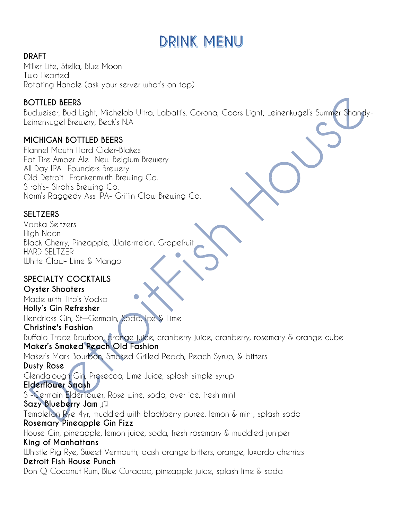# **DRINK MENU**

### **DRAFT**

Miller Lite, Stella, Blue Moon Two Hearted Rotating Handle (ask your server what's on tap)

### **BOTTLED BEERS**

Budweiser, Bud Light, Michelob Ultra, Labatt's, Corona, Coors Light, Leinenkugel's Summer Shandy-Leinenkugel Brewery, Beck's N.A

### **MICHIGAN BOTTLED BEERS**

Flannel Mouth Hard Cider-Blakes Fat Tire Amber Ale- New Belgium Brewery All Day IPA- Founders Brewery Old Detroit- Frankenmuth Brewing Co. Stroh's- Stroh's Brewing Co. Norm's Raggedy Ass IPA- Griffin Claw Brewing Co.

### **SELTZERS**

Vodka Seltzers High Noon Black Cherry, Pineapple, Watermelon, Grapefruit HARD SELTZER White Claw- Lime & Mango

### **SPECIALTY COCKTAILS**

**Oyster Shooters** Made with Tito's Vodka **Holly's Gin Refresher** Hendricks Gin, St—Germain, Soda, Ice & Lime **Christine's Fashion** Buffalo Trace Bourbon, orange juice, cranberry juice, cranberry, rosemary & orange cube **Maker's Smoked Peach Old Fashion** Maker's Mark Bourbon, Smoked Grilled Peach, Peach Syrup, & bitters **Dusty Rose** Glendalough Gin, Prosecco, Lime Juice, splash simple syrup **Elderflower Smash** St-Germain Elderflower, Rose wine, soda, over ice, fresh mint **Sazy Blueberry Jam** Templeton Rye 4yr, muddled with blackberry puree, lemon & mint, splash soda **Rosemary Pineapple Gin Fizz** House Gin, pineapple, lemon juice, soda, fresh rosemary & muddled juniper **King of Manhattans** Whistle Pig Rye, Sweet Vermouth, dash orange bitters, orange, luxardo cherries **Detroit Fish House Punch** Don Q Coconut Rum, Blue Curacao, pineapple juice, splash lime & soda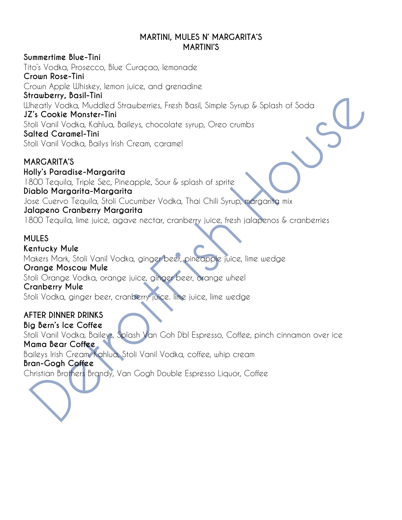#### **MARTINI, MULES N' MARGARITA'S MARTINI'S**

**Summertime Blue-Tini** Tito's Vodka, Prosecco, Blue Curaçao, lemonade **Crown Rose-Tini** Crown Apple Whiskey, lemon juice, and grenadine **Strawberry, Basil-Tini** Wheatly Vodka, Muddled Strawberries, Fresh Basil, Simple Syrup & Splash of Soda **JZ's Cookie Monster-Tini** Stoli Vanil Vodka, Kahlua, Baileys, chocolate syrup, Oreo crumbs **Salted Caramel-Tini** Stoli Vanil Vodka, Bailys Irish Cream, caramel **MARGARITA'S**

**Holly's Paradise-Margarita** 1800 Tequila, Triple Sec, Pineapple, Sour & splash of sprite **Diablo Margarita-Margarita** Jose Cuervo Tequila, Stoli Cucumber Vodka, Thai Chili Syrup, margarita mix **Jalapeno Cranberry Margarita** 1800 Tequila, lime juice, agave nectar, cranberry juice, fresh jalapenos & cranberries

### **MULES**

**Kentucky Mule** Makers Mark, Stoli Vanil Vodka, ginger beer, pineapple juice, lime wedge **Orange Moscow Mule** Stoli Orange Vodka, orange juice, ginger beer, orange wheel **Cranberry Mule** Stoli Vodka, ginger beer, cranberry juice. lime juice, lime wedge

**AFTER DINNER DRINKS Big Bern's Ice Coffee** Stoli Vanil Vodka, Baileys, Splash Van Goh Dbl Espresso, Coffee, pinch cinnamon over ice **Mama Bear Coffee** Baileys Irish Cream, Kahlua, Stoli Vanil Vodka, coffee, whip cream **Bran-Gogh Coffee** Christian Brothers Brandy, Van Gogh Double Espresso Liquor, Coffee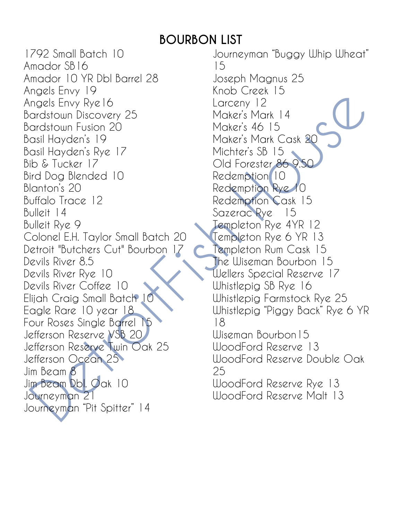## **BOURBON LIST**

1792 Small Batch 10 Amador SB16 Amador 10 YR Dbl Barrel 28 Angels Envy 19 Angels Envy Rye16 Bardstown Discovery 25 Bardstown Fusion 20 Basil Hayden's 19 Basil Hayden's Rye 17 Bib & Tucker 17 Bird Dog Blended 10 Blanton's 20 Buffalo Trace 12 Bulleit 14 Bulleit Rye 9 Colonel E.H. Taylor Small Batch 20 Detroit "Butchers Cut" Bourbon 17 Devils River 8.5 Devils River Rye 10 Devils River Coffee 10 Elijah Craig Small Batch 10 Eagle Rare 10 year 18 Four Roses Single Barrel 15 Jefferson Reserve VSB 20 Jefferson Reserve Twin Oak 25 Jefferson Ocean 25 Jim Beam 8 Jim Beam Dbl. Oak 10 Journeyman 21 Journeyman "Pit Spitter" 14

Journeyman "Buggy Whip Wheat" 15 Joseph Magnus 25 Knob Creek 15 Larceny 12 Maker's Mark 14 Maker's 46 15 Maker's Mark Cask 20 Michter's SB 15 Old Forester 86 9.50 Redemption 10 Redemption Rye 10 Redemption Cask 15 Sazerac Rye 15 Templeton Rye 4YR 12 Templeton Rye 6 YR 13 Templeton Rum Cask 15 The Wiseman Bourbon 15 Wellers Special Reserve 17 Whistlepig SB Rye 16 Whistlepig Farmstock Rye 25 Whistlepig "Piggy Back" Rye 6 YR 18 Wiseman Bourbon15 WoodFord Reserve 13 WoodFord Reserve Double Oak 25 WoodFord Reserve Rye 13 WoodFord Reserve Malt 13